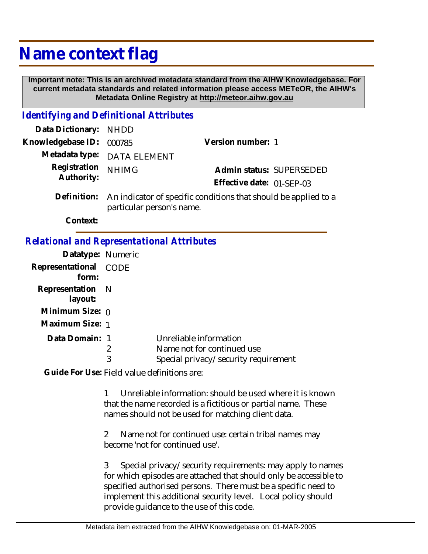## **Name context flag**

 **Important note: This is an archived metadata standard from the AIHW Knowledgebase. For current metadata standards and related information please access METeOR, the AIHW's Metadata Online Registry at http://meteor.aihw.gov.au**

## *Identifying and Definitional Attributes*

| Data Dictionary: NHDD            |                                                                             |                           |                          |
|----------------------------------|-----------------------------------------------------------------------------|---------------------------|--------------------------|
| Knowledgebase ID: 000785         |                                                                             | Version number: 1         |                          |
|                                  | Metadata type: DATA ELEMENT                                                 |                           |                          |
| Registration NHIMG<br>Authority: |                                                                             |                           | Admin status: SUPERSEDED |
|                                  |                                                                             | Effective date: 01-SEP-03 |                          |
|                                  | Definition: An indicator of specific conditions that should be applied to a |                           |                          |

particular person's name.

**Context:**

## *Relational and Representational Attributes*

| Datatype: Numeric              |        |                                                                                              |
|--------------------------------|--------|----------------------------------------------------------------------------------------------|
| Representational CODE<br>form: |        |                                                                                              |
| Representation N<br>layout:    |        |                                                                                              |
| Minimum Size: $_0$             |        |                                                                                              |
| Maximum Size: 1                |        |                                                                                              |
| Data Domain: 1                 | 2<br>3 | Unreliable information<br>Name not for continued use<br>Special privacy/security requirement |

Guide For Use: Field value definitions are:

1 Unreliable information: should be used where it is known that the name recorded is a fictitious or partial name. These names should not be used for matching client data.

2 Name not for continued use: certain tribal names may become 'not for continued use'.

3 Special privacy/security requirements: may apply to names for which episodes are attached that should only be accessible to specified authorised persons. There must be a specific need to implement this additional security level. Local policy should provide guidance to the use of this code.